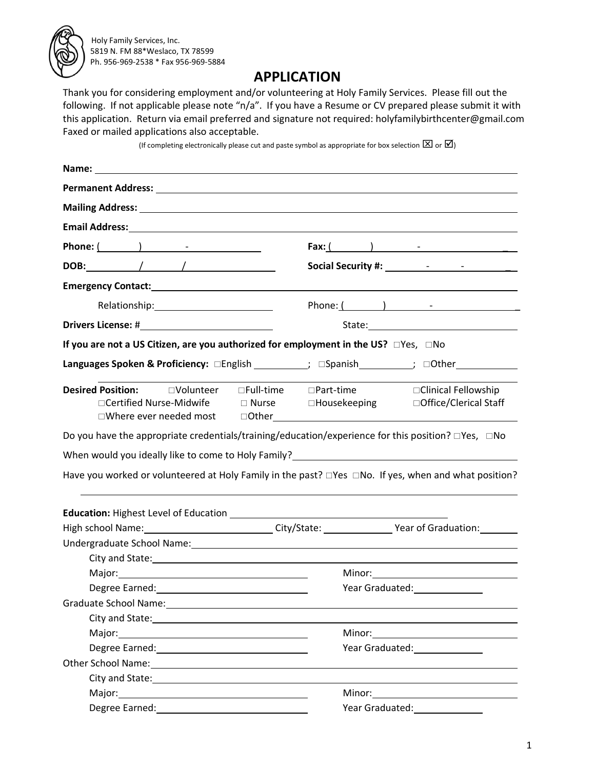

## **APPLICATION**

Thank you for considering employment and/or volunteering at Holy Family Services. Please fill out the following. If not applicable please note "n/a". If you have a Resume or CV prepared please submit it with this application. Return via email preferred and signature not required: holyfamilybirthcenter@gmail.com Faxed or mailed applications also acceptable.

(If completing electronically please cut and paste symbol as appropriate for box selection  $[\boxtimes]$  or  $[\boxtimes]$ )

| Permanent Address: University of the Community of the Community of the Community of the Community of the Community of the Community of the Community of the Community of the Community of the Community of the Community of th |                                                                                                                                                                                                                                                                                   |  |  |
|--------------------------------------------------------------------------------------------------------------------------------------------------------------------------------------------------------------------------------|-----------------------------------------------------------------------------------------------------------------------------------------------------------------------------------------------------------------------------------------------------------------------------------|--|--|
|                                                                                                                                                                                                                                | Mailing Address: University of the Community of the Community of the Community of the Community of the Community of the Community of the Community of the Community of the Community of the Community of the Community of the                                                     |  |  |
|                                                                                                                                                                                                                                |                                                                                                                                                                                                                                                                                   |  |  |
|                                                                                                                                                                                                                                |                                                                                                                                                                                                                                                                                   |  |  |
|                                                                                                                                                                                                                                |                                                                                                                                                                                                                                                                                   |  |  |
|                                                                                                                                                                                                                                |                                                                                                                                                                                                                                                                                   |  |  |
|                                                                                                                                                                                                                                |                                                                                                                                                                                                                                                                                   |  |  |
|                                                                                                                                                                                                                                |                                                                                                                                                                                                                                                                                   |  |  |
| If you are not a US Citizen, are you authorized for employment in the US? □Yes, □No                                                                                                                                            |                                                                                                                                                                                                                                                                                   |  |  |
|                                                                                                                                                                                                                                | Languages Spoken & Proficiency: □English __________; □Spanish _________; □Other _____________                                                                                                                                                                                     |  |  |
| <b>Desired Position:</b> □Volunteer □Full-time □Part-time<br>□Certified Nurse-Midwife  D Nurse  DHousekeeping                                                                                                                  | □ Clinical Fellowship<br>□ Office/Clerical Staff<br>□Where ever needed most = cother example and and a series and a series and a series and a series and a series and a series and a series and a series and a series and a series and a series and a series and a series and a s |  |  |
|                                                                                                                                                                                                                                | Do you have the appropriate credentials/training/education/experience for this position? $\square$ Yes, $\square$ No                                                                                                                                                              |  |  |
|                                                                                                                                                                                                                                | When would you ideally like to come to Holy Family? ____________________________                                                                                                                                                                                                  |  |  |
|                                                                                                                                                                                                                                | Have you worked or volunteered at Holy Family in the past? $\square$ Yes $\square$ No. If yes, when and what position?                                                                                                                                                            |  |  |
|                                                                                                                                                                                                                                |                                                                                                                                                                                                                                                                                   |  |  |
|                                                                                                                                                                                                                                | High school Name: 1990 Mame: 2008 Manuscription City/State: 2008 Manuscription: 2008 Manuscription: 2008 Manus                                                                                                                                                                    |  |  |
|                                                                                                                                                                                                                                | Undergraduate School Name: Manual Account of the Contract of the Contract of the Contract of the Contract of the Contract of the Contract of the Contract of the Contract of the Contract of the Contract of the Contract of t                                                    |  |  |
| City and State: New York City and State:                                                                                                                                                                                       |                                                                                                                                                                                                                                                                                   |  |  |
|                                                                                                                                                                                                                                |                                                                                                                                                                                                                                                                                   |  |  |
|                                                                                                                                                                                                                                | Year Graduated:<br><u> Learney and the set of the set of the set of the set of the set of the set of the set of the set of the set of the set of the set of the set of the set of the set of the set of the set of the set of the </u>                                            |  |  |
| Graduate School Name: 1997                                                                                                                                                                                                     |                                                                                                                                                                                                                                                                                   |  |  |
|                                                                                                                                                                                                                                |                                                                                                                                                                                                                                                                                   |  |  |
|                                                                                                                                                                                                                                |                                                                                                                                                                                                                                                                                   |  |  |
|                                                                                                                                                                                                                                |                                                                                                                                                                                                                                                                                   |  |  |
| Other School Name: Chamber 2014                                                                                                                                                                                                |                                                                                                                                                                                                                                                                                   |  |  |
|                                                                                                                                                                                                                                |                                                                                                                                                                                                                                                                                   |  |  |
|                                                                                                                                                                                                                                |                                                                                                                                                                                                                                                                                   |  |  |
|                                                                                                                                                                                                                                | Year Graduated: Nearly Search                                                                                                                                                                                                                                                     |  |  |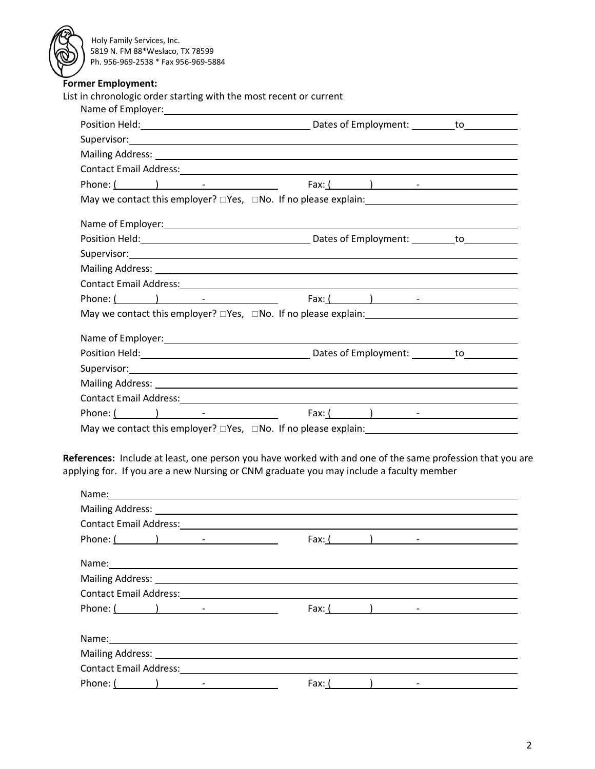| <b>Former Employment:</b><br>List in chronologic order starting with the most recent or current |                                                                                                                                                                                                                                |
|-------------------------------------------------------------------------------------------------|--------------------------------------------------------------------------------------------------------------------------------------------------------------------------------------------------------------------------------|
|                                                                                                 |                                                                                                                                                                                                                                |
|                                                                                                 |                                                                                                                                                                                                                                |
|                                                                                                 |                                                                                                                                                                                                                                |
|                                                                                                 | Mailing Address: 1988 and 2008 and 2008 and 2008 and 2008 and 2008 and 2008 and 2008 and 2008 and 2008 and 200                                                                                                                 |
|                                                                                                 |                                                                                                                                                                                                                                |
|                                                                                                 |                                                                                                                                                                                                                                |
|                                                                                                 |                                                                                                                                                                                                                                |
|                                                                                                 |                                                                                                                                                                                                                                |
|                                                                                                 |                                                                                                                                                                                                                                |
|                                                                                                 | Name of Employer: Name of Employer and American control of the American Control of the American Control of the                                                                                                                 |
|                                                                                                 |                                                                                                                                                                                                                                |
|                                                                                                 |                                                                                                                                                                                                                                |
|                                                                                                 |                                                                                                                                                                                                                                |
|                                                                                                 |                                                                                                                                                                                                                                |
|                                                                                                 |                                                                                                                                                                                                                                |
|                                                                                                 | May we contact this employer? $\square$ Yes, $\square$ No. If no please explain:                                                                                                                                               |
|                                                                                                 |                                                                                                                                                                                                                                |
|                                                                                                 |                                                                                                                                                                                                                                |
|                                                                                                 |                                                                                                                                                                                                                                |
|                                                                                                 |                                                                                                                                                                                                                                |
|                                                                                                 | Contact Email Address: Note and American control of the series of the series of the series of the series of the series of the series of the series of the series of the series of the series of the series of the series of th |

**References:** Include at least, one person you have worked with and one of the same profession that you are applying for. If you are a new Nursing or CNM graduate you may include a faculty member

| Name: Name and the second contract of the second contract of the second contract of the second contract of the second contract of the second contract of the second contract of the second contract of the second contract of |                  |                   |  |
|-------------------------------------------------------------------------------------------------------------------------------------------------------------------------------------------------------------------------------|------------------|-------------------|--|
|                                                                                                                                                                                                                               |                  |                   |  |
|                                                                                                                                                                                                                               |                  |                   |  |
|                                                                                                                                                                                                                               |                  | Fax: $($ $)$ $ -$ |  |
|                                                                                                                                                                                                                               |                  |                   |  |
|                                                                                                                                                                                                                               |                  |                   |  |
|                                                                                                                                                                                                                               |                  |                   |  |
| Phone: $($ $)$ $-$                                                                                                                                                                                                            | Fax: $($ and $)$ |                   |  |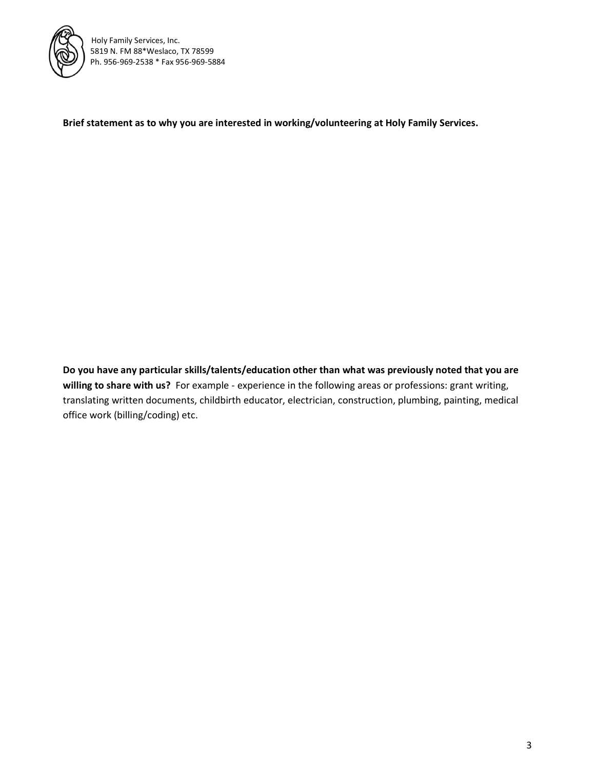

**Brief statement as to why you are interested in working/volunteering at Holy Family Services.**

**Do you have any particular skills/talents/education other than what was previously noted that you are willing to share with us?** For example - experience in the following areas or professions: grant writing, translating written documents, childbirth educator, electrician, construction, plumbing, painting, medical office work (billing/coding) etc.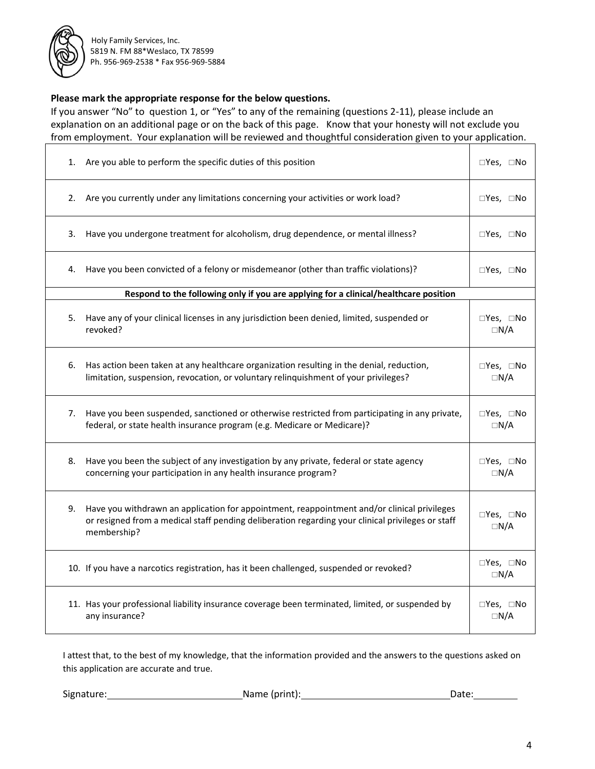

## **Please mark the appropriate response for the below questions.**

If you answer "No" to question 1, or "Yes" to any of the remaining (questions 2-11), please include an explanation on an additional page or on the back of this page. Know that your honesty will not exclude you from employment. Your explanation will be reviewed and thoughtful consideration given to your application.

| 1. | Are you able to perform the specific duties of this position                                                                                                                                                    | $\Box$ Yes, $\Box$ No               |
|----|-----------------------------------------------------------------------------------------------------------------------------------------------------------------------------------------------------------------|-------------------------------------|
| 2. | Are you currently under any limitations concerning your activities or work load?                                                                                                                                | □Yes, □No                           |
| 3. | Have you undergone treatment for alcoholism, drug dependence, or mental illness?                                                                                                                                | $\square$ Yes, $\square$ No         |
| 4. | Have you been convicted of a felony or misdemeanor (other than traffic violations)?                                                                                                                             | $\square$ Yes, $\square$ No         |
|    | Respond to the following only if you are applying for a clinical/healthcare position                                                                                                                            |                                     |
| 5. | Have any of your clinical licenses in any jurisdiction been denied, limited, suspended or<br>revoked?                                                                                                           | $\Box$ Yes, $\Box$ No<br>$\Box N/A$ |
| 6. | Has action been taken at any healthcare organization resulting in the denial, reduction,<br>limitation, suspension, revocation, or voluntary relinquishment of your privileges?                                 | □Yes, □No<br>$\Box N/A$             |
| 7. | Have you been suspended, sanctioned or otherwise restricted from participating in any private,<br>federal, or state health insurance program (e.g. Medicare or Medicare)?                                       | □Yes, □No<br>$\Box N/A$             |
| 8. | Have you been the subject of any investigation by any private, federal or state agency<br>concerning your participation in any health insurance program?                                                        | $\Box$ Yes, $\Box$ No<br>$\Box N/A$ |
| 9. | Have you withdrawn an application for appointment, reappointment and/or clinical privileges<br>or resigned from a medical staff pending deliberation regarding your clinical privileges or staff<br>membership? | $\Box$ Yes, $\Box$ No<br>$\Box N/A$ |
|    | 10. If you have a narcotics registration, has it been challenged, suspended or revoked?                                                                                                                         | $\Box$ Yes, $\Box$ No<br>$\Box N/A$ |
|    | 11. Has your professional liability insurance coverage been terminated, limited, or suspended by<br>any insurance?                                                                                              | $\Box$ Yes, $\Box$ No<br>$\Box N/A$ |

I attest that, to the best of my knowledge, that the information provided and the answers to the questions asked on this application are accurate and true.

Signature: Name (print): Date:

٦